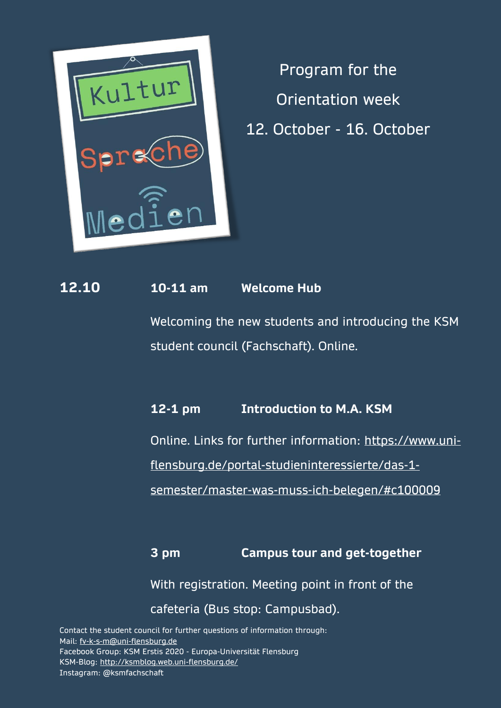

Program for the Orientation week 12. October - 16. October

## **12.10 10-11 am Welcome Hub**

Welcoming the new students and introducing the KSM student council (Fachschaft). Online.

## **12-1 pm Introduction to M.A. KSM**

Online. Links for further information: [https://www.uni-](https://www.uni-flensburg.de/portal-studieninteressierte/das-1-semester/master-was-muss-ich-belegen/#c100009)

[flensburg.de/portal-studieninteressierte/das-1-](https://www.uni-flensburg.de/portal-studieninteressierte/das-1-semester/master-was-muss-ich-belegen/#c100009)

[semester/master-was-muss-ich-belegen/#c100009](https://www.uni-flensburg.de/portal-studieninteressierte/das-1-semester/master-was-muss-ich-belegen/#c100009)

**3 pm Campus tour and get-together** With registration. Meeting point in front of the cafeteria (Bus stop: Campusbad).

Contact the student council for further questions of information through: Mail: [fv-k-s-m@uni-flensburg.de](mailto:fv-k-s-m@uni-flensburg.de) Facebook Group: KSM Erstis 2020 - Europa-Universität Flensburg KSM-Blog:<http://ksmblog.web.uni-flensburg.de/> Instagram: @ksmfachschaft